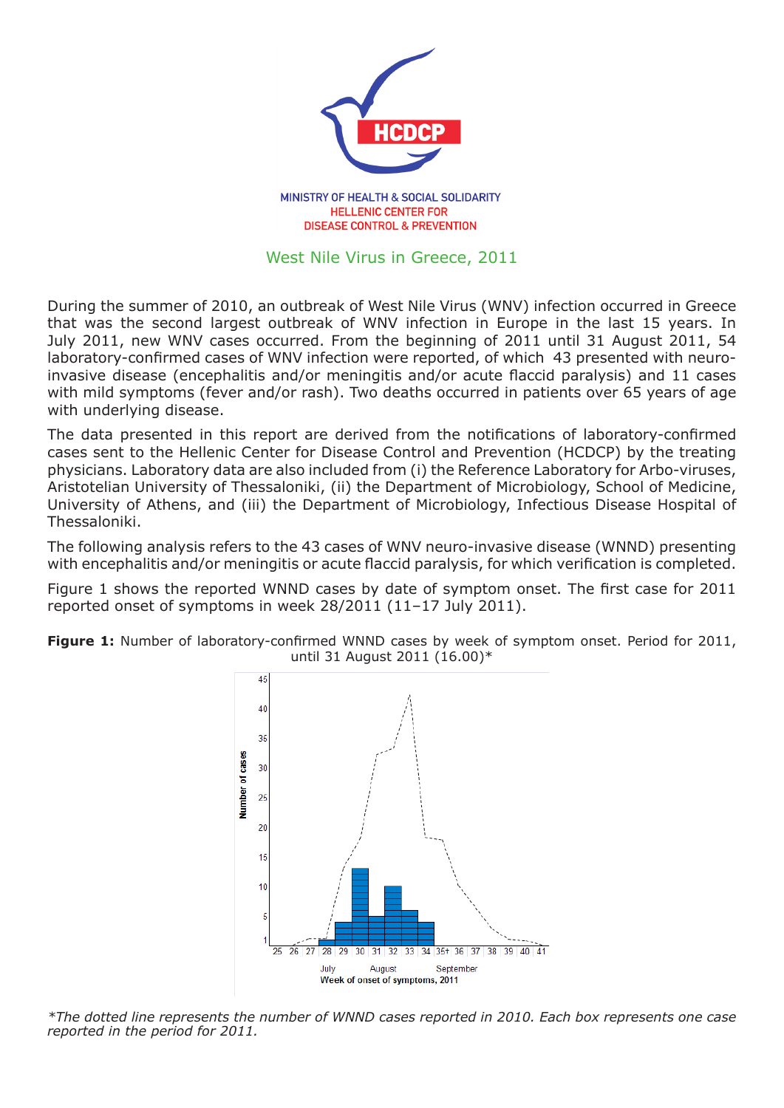

MINISTRY OF HEALTH & SOCIAL SOLIDARITY **HELLENIC CENTER FOR DISEASE CONTROL & PREVENTION** 

## West Nile Virus in Greece, 2011

During the summer of 2010, an outbreak of West Nile Virus (WNV) infection occurred in Greece that was the second largest outbreak of WNV infection in Europe in the last 15 years. In July 2011, new WNV cases occurred. From the beginning of 2011 until 31 August 2011, 54 laboratory-confirmed cases of WNV infection were reported, of which 43 presented with neuroinvasive disease (encephalitis and/or meningitis and/or acute flaccid paralysis) and 11 cases with mild symptoms (fever and/or rash). Two deaths occurred in patients over 65 years of age with underlying disease.

The data presented in this report are derived from the notifications of laboratory-confirmed cases sent to the Hellenic Center for Disease Control and Prevention (HCDCP) by the treating physicians. Laboratory data are also included from (i) the Reference Laboratory for Arbo-viruses, Aristotelian University of Thessaloniki, (ii) the Department of Microbiology, School of Medicine, University of Athens, and (iii) the Department of Microbiology, Infectious Disease Hospital of Thessaloniki.

The following analysis refers to the 43 cases of WNV neuro-invasive disease (WNND) presenting with encephalitis and/or meningitis or acute flaccid paralysis, for which verification is completed.

Figure 1 shows the reported WNND cases by date of symptom onset. The first case for 2011 reported onset of symptoms in week 28/2011 (11–17 July 2011).



**Figure 1:** Number of laboratory-confirmed WNND cases by week of symptom onset. Period for 2011, until 31 August 2011 (16.00)\*

*\*The dotted line represents the number of WNND cases reported in 2010. Each box represents one case reported in the period for 2011.*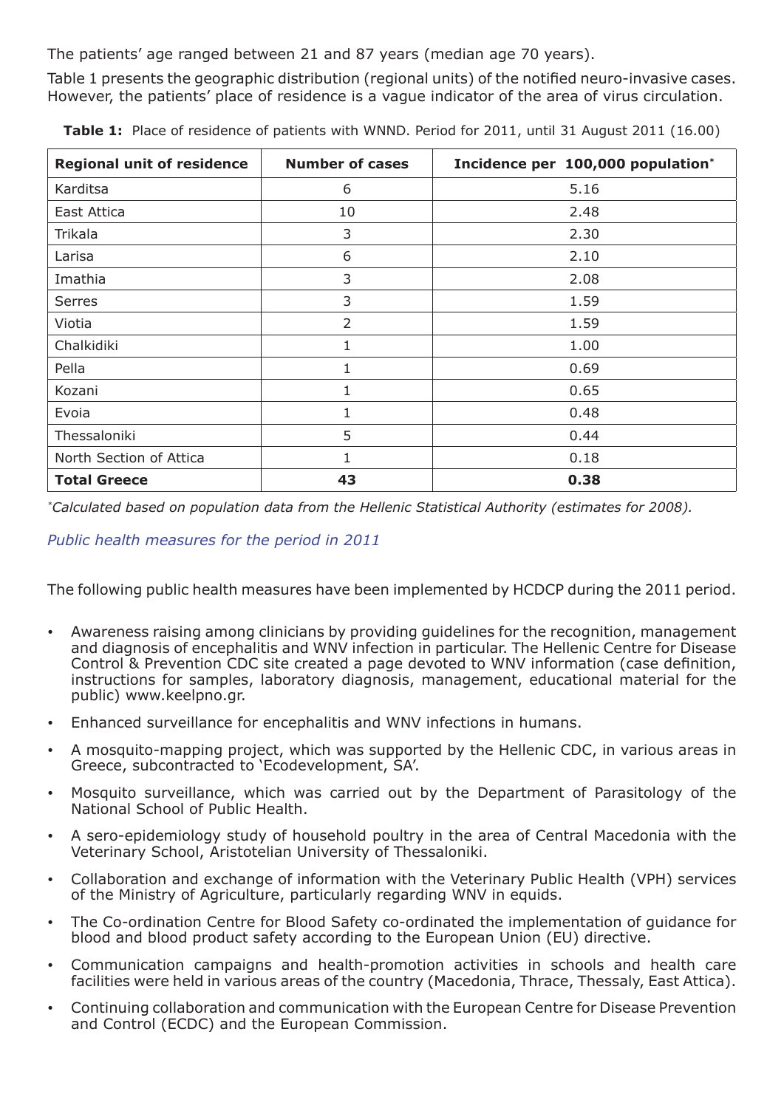The patients' age ranged between 21 and 87 years (median age 70 years).

Table 1 presents the geographic distribution (regional units) of the notified neuro-invasive cases. However, the patients' place of residence is a vague indicator of the area of virus circulation.

| <b>Regional unit of residence</b> | <b>Number of cases</b> | Incidence per 100,000 population* |
|-----------------------------------|------------------------|-----------------------------------|
| Karditsa                          | 6                      | 5.16                              |
| East Attica                       | 10                     | 2.48                              |
| Trikala                           | 3                      | 2.30                              |
| Larisa                            | 6                      | 2.10                              |
| Imathia                           | 3                      | 2.08                              |
| <b>Serres</b>                     | 3                      | 1.59                              |
| Viotia                            | $\overline{2}$         | 1.59                              |
| Chalkidiki                        | $\mathbf{1}$           | 1.00                              |
| Pella                             | $\mathbf{1}$           | 0.69                              |
| Kozani                            | 1                      | 0.65                              |
| Evoia                             | 1                      | 0.48                              |
| Thessaloniki                      | 5                      | 0.44                              |
| North Section of Attica           | $\mathbf{1}$           | 0.18                              |
| <b>Total Greece</b>               | 43                     | 0.38                              |

**Table 1:** Place of residence of patients with WNND. Period for 2011, until 31 August 2011 (16.00)

*\*Calculated based on population data from the Hellenic Statistical Authority (estimates for 2008).*

## *Public health measures for the period in 2011*

The following public health measures have been implemented by HCDCP during the 2011 period.

- Awareness raising among clinicians by providing guidelines for the recognition, management and diagnosis of encephalitis and WNV infection in particular. The Hellenic Centre for Disease Control & Prevention CDC site created a page devoted to WNV information (case definition, instructions for samples, laboratory diagnosis, management, educational material for the public) www.keelpno.gr.
- Enhanced surveillance for encephalitis and WNV infections in humans.
- A mosquito-mapping project, which was supported by the Hellenic CDC, in various areas in Greece, subcontracted to 'Ecodevelopment, SA'.
- Mosquito surveillance, which was carried out by the Department of Parasitology of the National School of Public Health.
- A sero-epidemiology study of household poultry in the area of Central Macedonia with the Veterinary School, Aristotelian University of Thessaloniki.
- Collaboration and exchange of information with the Veterinary Public Health (VPH) services of the Ministry of Agriculture, particularly regarding WNV in equids.
- The Co-ordination Centre for Blood Safety co-ordinated the implementation of quidance for blood and blood product safety according to the European Union (EU) directive.
- Communication campaigns and health-promotion activities in schools and health care facilities were held in various areas of the country (Macedonia, Thrace, Thessaly, East Attica).
- Continuing collaboration and communication with the European Centre for Disease Prevention and Control (ECDC) and the European Commission.